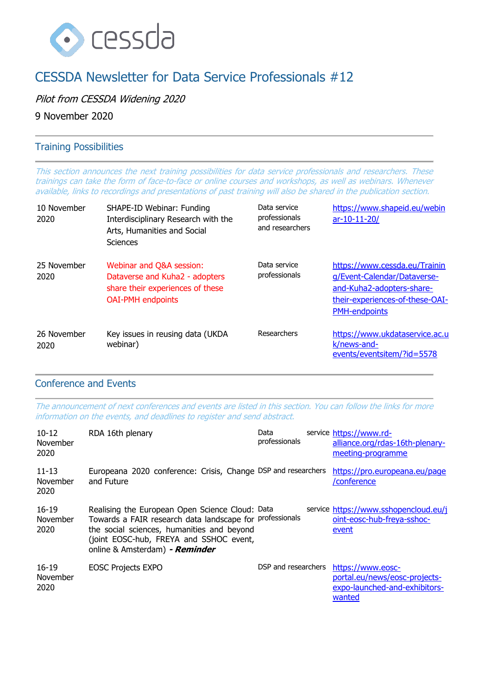

# CESSDA Newsletter for Data Service Professionals #12

Pilot from CESSDA Widening 2020

9 November 2020

## Training Possibilities

This section announces the next training possibilities for data service professionals and researchers. These trainings can take the form of face-to-face or online courses and workshops, as well as webinars. Whenever available, links to recordings and presentations of past training will also be shared in the publication section.

| 10 November<br>2020 | SHAPE-ID Webinar: Funding<br>Interdisciplinary Research with the<br>Arts, Humanities and Social<br><b>Sciences</b>         | Data service<br>professionals<br>and researchers | https://www.shapeid.eu/webin<br>$ar-10-11-20/$                                                                                                       |
|---------------------|----------------------------------------------------------------------------------------------------------------------------|--------------------------------------------------|------------------------------------------------------------------------------------------------------------------------------------------------------|
| 25 November<br>2020 | Webinar and Q&A session:<br>Dataverse and Kuha2 - adopters<br>share their experiences of these<br><b>OAI-PMH</b> endpoints | Data service<br>professionals                    | https://www.cessda.eu/Trainin<br>q/Event-Calendar/Dataverse-<br>and-Kuha2-adopters-share-<br>their-experiences-of-these-OAI-<br><b>PMH-endpoints</b> |
| 26 November<br>2020 | Key issues in reusing data (UKDA<br>webinar)                                                                               | Researchers                                      | https://www.ukdataservice.ac.u<br>k/news-and-<br>events/eventsitem/?id=5578                                                                          |

### Conference and Events

The announcement of next conferences and events are listed in this section. You can follow the links for more information on the events, and deadlines to register and send abstract.

| $10 - 12$<br>November<br>2020 | RDA 16th plenary                                                                                                                                                                                                                       | Data<br>professionals | service https://www.rd-<br>alliance.org/rdas-16th-plenary-<br>meeting-programme               |
|-------------------------------|----------------------------------------------------------------------------------------------------------------------------------------------------------------------------------------------------------------------------------------|-----------------------|-----------------------------------------------------------------------------------------------|
| $11 - 13$<br>November<br>2020 | Europeana 2020 conference: Crisis, Change DSP and researchers<br>and Future                                                                                                                                                            |                       | https://pro.europeana.eu/page<br>/conference                                                  |
| $16 - 19$<br>November<br>2020 | Realising the European Open Science Cloud: Data<br>Towards a FAIR research data landscape for professionals<br>the social sciences, humanities and beyond<br>(joint EOSC-hub, FREYA and SSHOC event,<br>online & Amsterdam) - Reminder |                       | service https://www.sshopencloud.eu/j<br>oint-eosc-hub-freya-sshoc-<br>event                  |
| $16 - 19$<br>November<br>2020 | <b>EOSC Projects EXPO</b>                                                                                                                                                                                                              | DSP and researchers   | https://www.eosc-<br>portal.eu/news/eosc-projects-<br>expo-launched-and-exhibitors-<br>wanted |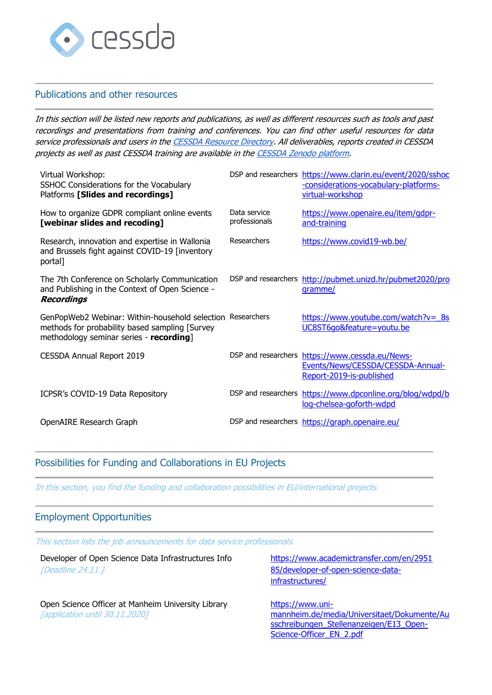

#### Publications and other resources

In this section will be listed new reports and publications, as well as different resources such as tools and past recordings and presentations from training and conferences. You can find other useful resources for data service professionals and users in th[e CESSDA Resource Directory.](https://www.zotero.org/groups/2382601/cessda_resource_directory/library) All deliverables, reports created in CESSDA projects as well as past CESSDA training are available in th[e CESSDA Zenodo platform.](https://zenodo.org/communities/cessda/)

| Virtual Workshop:<br>SSHOC Considerations for the Vocabulary<br>Platforms [Slides and recordings]                                                       |                               | DSP and researchers https://www.clarin.eu/event/2020/sshoc<br>-considerations-vocabulary-platforms-<br>virtual-workshop |
|---------------------------------------------------------------------------------------------------------------------------------------------------------|-------------------------------|-------------------------------------------------------------------------------------------------------------------------|
| How to organize GDPR compliant online events<br>[webinar slides and recoding]                                                                           | Data service<br>professionals | https://www.openaire.eu/item/gdpr-<br>and-training                                                                      |
| Research, innovation and expertise in Wallonia<br>and Brussels fight against COVID-19 [inventory<br>portal]                                             | Researchers                   | https://www.covid19-wb.be/                                                                                              |
| The 7th Conference on Scholarly Communication<br>and Publishing in the Context of Open Science -<br><b>Recordings</b>                                   |                               | DSP and researchers http://pubmet.unizd.hr/pubmet2020/pro<br>gramme/                                                    |
| GenPopWeb2 Webinar: Within-household selection Researchers<br>methods for probability based sampling [Survey<br>methodology seminar series - recording] |                               | https://www.youtube.com/watch?v= 8s<br>UC8ST6qo&feature=youtu.be                                                        |
| <b>CESSDA Annual Report 2019</b>                                                                                                                        |                               | DSP and researchers https://www.cessda.eu/News-<br>Events/News/CESSDA/CESSDA-Annual-<br>Report-2019-is-published        |
| ICPSR's COVID-19 Data Repository                                                                                                                        |                               | DSP and researchers https://www.dpconline.org/blog/wdpd/b<br>log-chelsea-goforth-wdpd                                   |
| OpenAIRE Research Graph                                                                                                                                 |                               | DSP and researchers https://graph.openaire.eu/                                                                          |

## Possibilities for Funding and Collaborations in EU Projects

In this section, you find the funding and collaboration possibilities in EU/international projects.

#### Employment Opportunities

This section lists the job announcements for data service professionals.

| Developer of Open Science Data Infrastructures Info<br>[Deadline 24.11.]                    | https://www.academictransfer.com/en/2951<br>85/developer-of-open-science-data-<br>infrastructures/                                     |
|---------------------------------------------------------------------------------------------|----------------------------------------------------------------------------------------------------------------------------------------|
| Open Science Officer at Manheim University Library<br><b>Tapplication until 30.11.20201</b> | https://www.uni-<br>mannheim.de/media/Universitaet/Dokumente/Au<br>sschreibungen Stellenanzeigen/E13 Open-<br>Science-Officer EN 2.pdf |